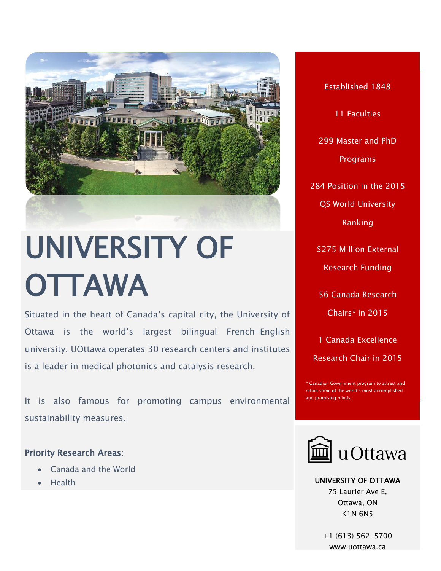

# UNIVERSITY OF **OTTAWA**

Situated in the heart of Canada's capital city, the University of Ottawa is the world's largest bilingual French-English university. UOttawa operates 30 research centers and institutes is a leader in medical photonics and catalysis research.

It is also famous for promoting campus environmental sustainability measures.

### Priority Research Areas:

- Canada and the World
- Health

Established 1848 11 Faculties 299 Master and PhD Programs 284 Position in the 2015 QS World University Ranking \$275 Million External Research Funding 56 Canada Research Chairs\* in 2015 1 Canada Excellence Research Chair in 2015

\* Canadian Government program to attract and retain some of the world's most accomplished and promising minds.



UNIVERSITY OF OTTAWA 75 Laurier Ave E, Ottawa, ON K1N 6N5

+1 (613) 562-5700 [www.uottawa.ca](file:///C:/Users/Paulo%20Carvalho/Desktop/CALDO%20BROCHURE/www.uottawa.ca)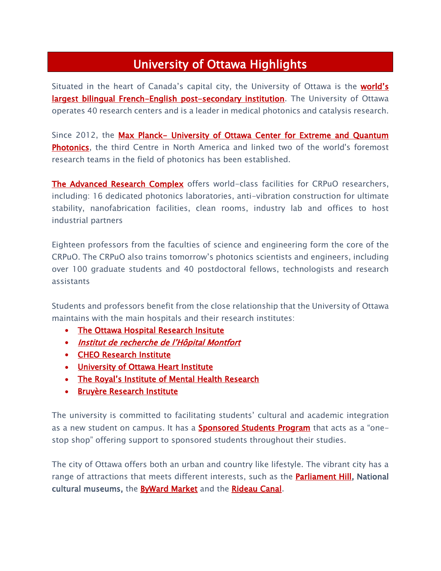## University of Ottawa Highlights

Situated in the heart of Canada's capital city, the University of Ottawa is the world's **largest bilingual French-English post-secondary institution**. The University of Ottawa operates 40 research centers and is a leader in medical photonics and catalysis research.

Since 2012, the Max Planck- University of Ottawa Center for Extreme and Quantum **Photonics**, the third Centre in North America and linked two of the world's foremost research teams in the field of photonics has been established.

**[The Advanced Research Complex](https://photonics.uottawa.ca/)** offers world-class facilities for CRPuO researchers, including: 16 dedicated photonics laboratories, anti-vibration construction for ultimate stability, nanofabrication facilities, clean rooms, industry lab and offices to host industrial partners

Eighteen professors from the faculties of science and engineering form the core of the CRPuO. The CRPuO also trains tomorrow's photonics scientists and engineers, including over 100 graduate students and 40 postdoctoral fellows, technologists and research assistants

Students and professors benefit from the close relationship that the University of Ottawa maintains with the main hospitals and their research institutes:

- The Ottawa Hospital Research Insitute
- [Institut de recherche de l'Hôpital Montfort](http://www.hopitalmontfort.com/en/research)
- [CHEO Research Institute](http://www.cheori.org/)
- [University of Ottawa Heart Institute](https://www.ottawaheart.ca/)
- [The Royal's Institute of Mental Health Research](http://www.theroyal.ca/)
- **Bruyère Research Institute**

The university is committed to facilitating students' cultural and academic integration as a new student on campus. It has a **Sponsored Students Program** that acts as a "onestop shop" offering support to sponsored students throughout their studies.

The city of Ottawa offers both an urban and country like lifestyle. The vibrant city has a range of attractions that meets different interests, such as the **Parliament Hill, National** cultural museums, the **ByWard Market** and the [Rideau Canal.](http://rcs.ncc-ccn.ca/)